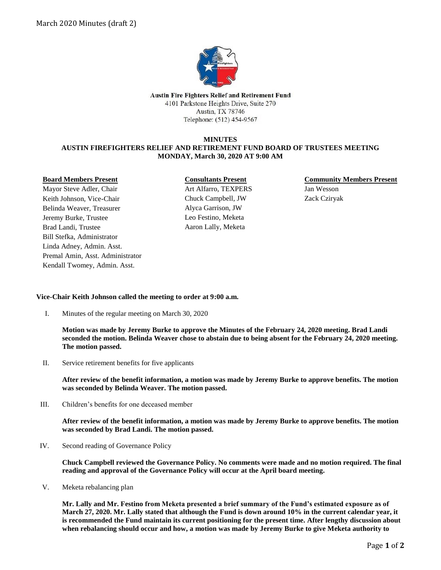

**Austin Fire Fighters Relief and Retirement Fund** 4101 Parkstone Heights Drive, Suite 270 Austin, TX 78746 Telephone: (512) 454-9567

### **MINUTES AUSTIN FIREFIGHTERS RELIEF AND RETIREMENT FUND BOARD OF TRUSTEES MEETING MONDAY, March 30, 2020 AT 9:00 AM**

#### **Board Members Present**

Mayor Steve Adler, Chair Keith Johnson, Vice-Chair Belinda Weaver, Treasurer Jeremy Burke, Trustee Brad Landi, Trustee Bill Stefka, Administrator Linda Adney, Admin. Asst. Premal Amin, Asst. Administrator Kendall Twomey, Admin. Asst.

# **Consultants Present**

Art Alfarro, TEXPERS Chuck Campbell, JW Alyca Garrison, JW Leo Festino, Meketa Aaron Lally, Meketa

## **Community Members Present** Jan Wesson Zack Cziryak

## **Vice-Chair Keith Johnson called the meeting to order at 9:00 a.m.**

I. Minutes of the regular meeting on March 30, 2020

**Motion was made by Jeremy Burke to approve the Minutes of the February 24, 2020 meeting. Brad Landi seconded the motion. Belinda Weaver chose to abstain due to being absent for the February 24, 2020 meeting. The motion passed.** 

II. Service retirement benefits for five applicants

**After review of the benefit information, a motion was made by Jeremy Burke to approve benefits. The motion was seconded by Belinda Weaver. The motion passed.**

III. Children's benefits for one deceased member

**After review of the benefit information, a motion was made by Jeremy Burke to approve benefits. The motion was seconded by Brad Landi. The motion passed.** 

IV. Second reading of Governance Policy

**Chuck Campbell reviewed the Governance Policy. No comments were made and no motion required. The final reading and approval of the Governance Policy will occur at the April board meeting.** 

V. Meketa rebalancing plan

**Mr. Lally and Mr. Festino from Meketa presented a brief summary of the Fund's estimated exposure as of March 27, 2020. Mr. Lally stated that although the Fund is down around 10% in the current calendar year, it is recommended the Fund maintain its current positioning for the present time. After lengthy discussion about when rebalancing should occur and how, a motion was made by Jeremy Burke to give Meketa authority to**